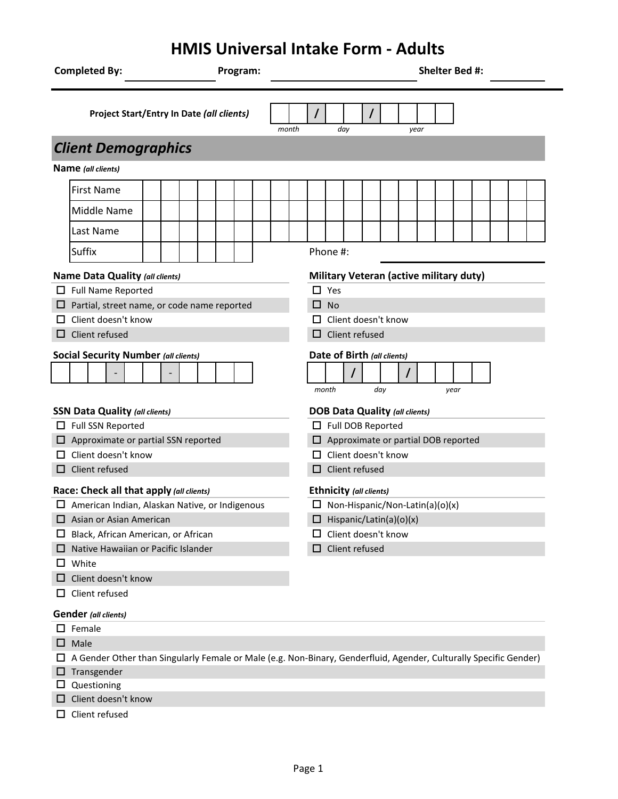# **HMIS Universal Intake Form - Adults**

| <b>Completed By:</b>                                                                                              |  | Program: |       |                                                     |     |                                                                   |                            |  |  |      |  |  | Shelter Bed #:                          |  |  |  |  |
|-------------------------------------------------------------------------------------------------------------------|--|----------|-------|-----------------------------------------------------|-----|-------------------------------------------------------------------|----------------------------|--|--|------|--|--|-----------------------------------------|--|--|--|--|
| <b>Project Start/Entry In Date (all clients)</b>                                                                  |  |          | month |                                                     | day |                                                                   | $\prime$                   |  |  | year |  |  |                                         |  |  |  |  |
| <b>Client Demographics</b>                                                                                        |  |          |       |                                                     |     |                                                                   |                            |  |  |      |  |  |                                         |  |  |  |  |
| Name (all clients)                                                                                                |  |          |       |                                                     |     |                                                                   |                            |  |  |      |  |  |                                         |  |  |  |  |
| <b>First Name</b>                                                                                                 |  |          |       |                                                     |     |                                                                   |                            |  |  |      |  |  |                                         |  |  |  |  |
| Middle Name                                                                                                       |  |          |       |                                                     |     |                                                                   |                            |  |  |      |  |  |                                         |  |  |  |  |
| Last Name                                                                                                         |  |          |       |                                                     |     |                                                                   |                            |  |  |      |  |  |                                         |  |  |  |  |
| <b>Suffix</b>                                                                                                     |  |          |       |                                                     |     |                                                                   | Phone #:                   |  |  |      |  |  |                                         |  |  |  |  |
| Name Data Quality (all clients)                                                                                   |  |          |       |                                                     |     |                                                                   |                            |  |  |      |  |  | Military Veteran (active military duty) |  |  |  |  |
| $\Box$ Full Name Reported                                                                                         |  |          |       |                                                     |     |                                                                   | $\Box$ Yes                 |  |  |      |  |  |                                         |  |  |  |  |
| $\Box$ Partial, street name, or code name reported                                                                |  |          |       |                                                     |     |                                                                   | $\Box$ No                  |  |  |      |  |  |                                         |  |  |  |  |
| Client doesn't know                                                                                               |  |          |       |                                                     |     |                                                                   | $\Box$ Client doesn't know |  |  |      |  |  |                                         |  |  |  |  |
| Client refused                                                                                                    |  |          |       |                                                     |     |                                                                   | $\Box$ Client refused      |  |  |      |  |  |                                         |  |  |  |  |
| <b>Social Security Number (all clients)</b>                                                                       |  |          |       | Date of Birth (all clients)<br>month<br>day<br>year |     |                                                                   |                            |  |  |      |  |  |                                         |  |  |  |  |
| <b>SSN Data Quality (all clients)</b>                                                                             |  |          |       |                                                     |     | <b>DOB Data Quality (all clients)</b>                             |                            |  |  |      |  |  |                                         |  |  |  |  |
| Full SSN Reported                                                                                                 |  |          |       |                                                     |     | Full DOB Reported<br>$\Box$ Approximate or partial DOB reported   |                            |  |  |      |  |  |                                         |  |  |  |  |
| $\Box$ Approximate or partial SSN reported<br>Client doesn't know                                                 |  |          |       |                                                     |     | $\Box$ Client doesn't know                                        |                            |  |  |      |  |  |                                         |  |  |  |  |
| Client refused                                                                                                    |  |          |       |                                                     |     | $\Box$ Client refused                                             |                            |  |  |      |  |  |                                         |  |  |  |  |
| Race: Check all that apply (all clients)                                                                          |  |          |       |                                                     |     |                                                                   |                            |  |  |      |  |  |                                         |  |  |  |  |
| □ American Indian, Alaskan Native, or Indigenous                                                                  |  |          |       |                                                     |     | Ethnicity (all clients)<br>$\Box$ Non-Hispanic/Non-Latin(a)(o)(x) |                            |  |  |      |  |  |                                         |  |  |  |  |
| $\Box$ Asian or Asian American                                                                                    |  |          |       |                                                     |     | $\Box$ Hispanic/Latin(a)(o)(x)                                    |                            |  |  |      |  |  |                                         |  |  |  |  |
| Black, African American, or African<br>ப                                                                          |  |          |       |                                                     |     | Client doesn't know<br>ப                                          |                            |  |  |      |  |  |                                         |  |  |  |  |
| Native Hawaiian or Pacific Islander                                                                               |  |          |       |                                                     |     | $\Box$ Client refused                                             |                            |  |  |      |  |  |                                         |  |  |  |  |
| White                                                                                                             |  |          |       |                                                     |     |                                                                   |                            |  |  |      |  |  |                                         |  |  |  |  |
| Client doesn't know                                                                                               |  |          |       |                                                     |     |                                                                   |                            |  |  |      |  |  |                                         |  |  |  |  |
| Client refused<br>ப                                                                                               |  |          |       |                                                     |     |                                                                   |                            |  |  |      |  |  |                                         |  |  |  |  |
| <b>Gender</b> (all clients)                                                                                       |  |          |       |                                                     |     |                                                                   |                            |  |  |      |  |  |                                         |  |  |  |  |
| $\Box$ Female                                                                                                     |  |          |       |                                                     |     |                                                                   |                            |  |  |      |  |  |                                         |  |  |  |  |
| Male<br>ப                                                                                                         |  |          |       |                                                     |     |                                                                   |                            |  |  |      |  |  |                                         |  |  |  |  |
| A Gender Other than Singularly Female or Male (e.g. Non-Binary, Genderfluid, Agender, Culturally Specific Gender) |  |          |       |                                                     |     |                                                                   |                            |  |  |      |  |  |                                         |  |  |  |  |
| $\Box$ Transgender                                                                                                |  |          |       |                                                     |     |                                                                   |                            |  |  |      |  |  |                                         |  |  |  |  |
| Questioning<br>ப                                                                                                  |  |          |       |                                                     |     |                                                                   |                            |  |  |      |  |  |                                         |  |  |  |  |
| Client doesn't know                                                                                               |  |          |       |                                                     |     |                                                                   |                            |  |  |      |  |  |                                         |  |  |  |  |
| Client refused<br>ப                                                                                               |  |          |       |                                                     |     |                                                                   |                            |  |  |      |  |  |                                         |  |  |  |  |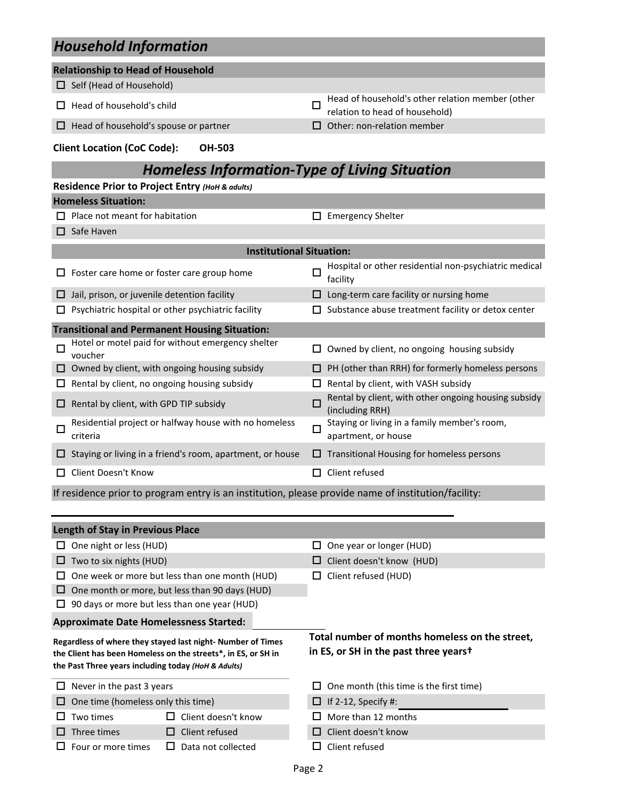|   | <b>TRANSCRIPTS III</b> OHIIIUUU                                                                     |        |                                                                                    |
|---|-----------------------------------------------------------------------------------------------------|--------|------------------------------------------------------------------------------------|
|   | <b>Relationship to Head of Household</b>                                                            |        |                                                                                    |
|   | $\Box$ Self (Head of Household)                                                                     |        |                                                                                    |
|   | $\Box$ Head of household's child                                                                    | П      | Head of household's other relation member (other<br>relation to head of household) |
| ப | Head of household's spouse or partner                                                               |        | Other: non-relation member                                                         |
|   | <b>Client Location (CoC Code):</b><br><b>OH-503</b>                                                 |        |                                                                                    |
|   | <b>Homeless Information-Type of Living Situation</b>                                                |        |                                                                                    |
|   | Residence Prior to Project Entry (HoH & adults)                                                     |        |                                                                                    |
|   | <b>Homeless Situation:</b>                                                                          |        |                                                                                    |
|   | Place not meant for habitation                                                                      |        | <b>Emergency Shelter</b>                                                           |
|   | $\Box$ Safe Haven                                                                                   |        |                                                                                    |
|   | <b>Institutional Situation:</b>                                                                     |        |                                                                                    |
|   | Foster care home or foster care group home                                                          | O      | Hospital or other residential non-psychiatric medical<br>facility                  |
| □ | Jail, prison, or juvenile detention facility                                                        |        | Long-term care facility or nursing home                                            |
|   | Psychiatric hospital or other psychiatric facility                                                  |        | Substance abuse treatment facility or detox center                                 |
|   | <b>Transitional and Permanent Housing Situation:</b>                                                |        |                                                                                    |
| □ | Hotel or motel paid for without emergency shelter<br>voucher                                        | ப      | Owned by client, no ongoing housing subsidy                                        |
| ப | Owned by client, with ongoing housing subsidy                                                       |        | PH (other than RRH) for formerly homeless persons                                  |
| ப | Rental by client, no ongoing housing subsidy                                                        |        | Rental by client, with VASH subsidy                                                |
| ⊔ | Rental by client, with GPD TIP subsidy                                                              | □      | Rental by client, with other ongoing housing subsidy<br>(including RRH)            |
| □ | Residential project or halfway house with no homeless<br>criteria                                   | $\Box$ | Staying or living in a family member's room,<br>apartment, or house                |
|   | Staying or living in a friend's room, apartment, or house                                           |        | $\Box$ Transitional Housing for homeless persons                                   |
| □ | Client Doesn't Know                                                                                 |        | $\Box$ Client refused                                                              |
|   | If residence prior to program entry is an institution, please provide name of institution/facility: |        |                                                                                    |
|   |                                                                                                     |        |                                                                                    |
|   | <b>Length of Stay in Previous Place</b>                                                             |        |                                                                                    |
|   | $\Box$ One night or less (HUD)                                                                      | ப      | One year or longer (HUD)                                                           |
|   | $\Box$ Two to six nights (HUD)                                                                      |        | Client doesn't know (HUD)                                                          |
|   | One week or more but less than one month (HUD)                                                      |        | Client refused (HUD)                                                               |
| ப | One month or more, but less than 90 days (HUD)                                                      |        |                                                                                    |
| ப | 90 days or more but less than one year (HUD)                                                        |        |                                                                                    |
|   | <b>Approximate Date Homelessness Started:</b>                                                       |        |                                                                                    |
|   | Regardless of where they stayed last night- Number of Times                                         |        | Total number of months homeless on the street,                                     |
|   | the Client has been Homeless on the streets*, in ES, or SH in                                       |        | in ES, or SH in the past three yearst                                              |

**the Client has been Homeless on the streets\*, in ES, or SH in the Past Three years including today** *(HoH & Adults)*

| the Past Three years including today ( <i>HoH</i> & Addits) |                            |                                                |  |  |  |
|-------------------------------------------------------------|----------------------------|------------------------------------------------|--|--|--|
| $\Box$ Never in the past 3 years                            |                            | $\Box$ One month (this time is the first time) |  |  |  |
| $\Box$ One time (homeless only this time)                   |                            | $\Box$ If 2-12, Specify #:                     |  |  |  |
| $\Box$ Two times                                            | $\Box$ Client doesn't know | $\Box$ More than 12 months                     |  |  |  |
| $\Box$ Three times                                          | $\Box$ Client refused      | $\Box$ Client doesn't know                     |  |  |  |
| $\Box$ Four or more times                                   | Data not collected         | $\Box$ Client refused                          |  |  |  |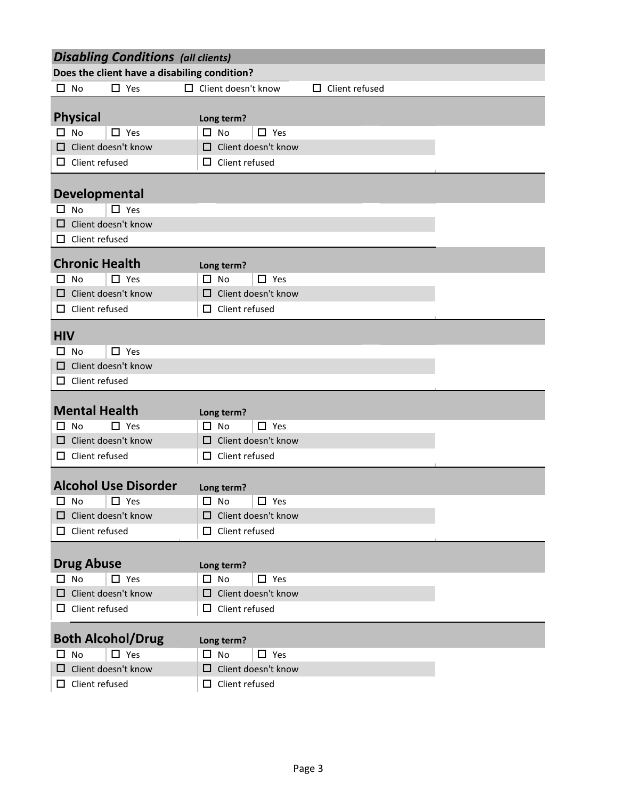|                                                      | <b>Disabling Conditions (all clients)</b>           |  |  |  |  |  |
|------------------------------------------------------|-----------------------------------------------------|--|--|--|--|--|
| Does the client have a disabiling condition?         |                                                     |  |  |  |  |  |
| $\Box$ Yes<br>No<br>П.<br>0.                         | Client doesn't know<br>Client refused<br>0          |  |  |  |  |  |
|                                                      |                                                     |  |  |  |  |  |
| <b>Physical</b>                                      | Long term?                                          |  |  |  |  |  |
| $\square$ No<br>$\Box$ Yes                           | $\Box$ No<br>$\Box$ Yes                             |  |  |  |  |  |
| Client doesn't know                                  | $\Box$ Client doesn't know                          |  |  |  |  |  |
| $\Box$ Client refused                                | $\Box$ Client refused                               |  |  |  |  |  |
|                                                      |                                                     |  |  |  |  |  |
| <b>Developmental</b><br>$\square$ Yes<br>0.<br>No    |                                                     |  |  |  |  |  |
| Client doesn't know                                  |                                                     |  |  |  |  |  |
| Client refused<br>□                                  |                                                     |  |  |  |  |  |
|                                                      |                                                     |  |  |  |  |  |
| <b>Chronic Health</b>                                | Long term?                                          |  |  |  |  |  |
| $\Box$ Yes<br>No<br>□.                               | $\Box$ No<br>$\Box$ Yes                             |  |  |  |  |  |
| Client doesn't know<br>口                             | $\Box$ Client doesn't know                          |  |  |  |  |  |
| $\Box$ Client refused                                | $\Box$ Client refused                               |  |  |  |  |  |
| <b>HIV</b>                                           |                                                     |  |  |  |  |  |
|                                                      |                                                     |  |  |  |  |  |
| $\Box$ Yes<br><b>No</b><br>□<br>Client doesn't know  |                                                     |  |  |  |  |  |
| ப<br>$\Box$ Client refused                           |                                                     |  |  |  |  |  |
|                                                      |                                                     |  |  |  |  |  |
|                                                      |                                                     |  |  |  |  |  |
|                                                      |                                                     |  |  |  |  |  |
| <b>Mental Health</b><br>$\Box$ Yes<br><b>No</b><br>□ | Long term?<br>$\square$ No<br>$\Box$ Yes            |  |  |  |  |  |
| Client doesn't know<br>□                             | $\Box$ Client doesn't know                          |  |  |  |  |  |
| $\Box$ Client refused                                | $\Box$ Client refused                               |  |  |  |  |  |
|                                                      |                                                     |  |  |  |  |  |
| <b>Alcohol Use Disorder</b>                          | Long term?                                          |  |  |  |  |  |
| $\Box$ Yes<br>$\square$ No                           | $\square$ No<br>$\Box$ Yes                          |  |  |  |  |  |
| $\Box$ Client doesn't know                           | $\Box$ Client doesn't know                          |  |  |  |  |  |
| $\Box$ Client refused                                | $\Box$ Client refused                               |  |  |  |  |  |
|                                                      |                                                     |  |  |  |  |  |
| <b>Drug Abuse</b>                                    | Long term?                                          |  |  |  |  |  |
| $\Box$ Yes<br>$\square$ No                           | $\Box$ No<br>$\Box$ Yes                             |  |  |  |  |  |
| $\Box$ Client doesn't know                           | $\Box$ Client doesn't know                          |  |  |  |  |  |
| $\Box$ Client refused                                | $\Box$ Client refused                               |  |  |  |  |  |
|                                                      |                                                     |  |  |  |  |  |
| <b>Both Alcohol/Drug</b>                             | Long term?                                          |  |  |  |  |  |
| $\Box$ Yes<br>$\square$ No                           | $\Box$ No<br>$\Box$ Yes                             |  |  |  |  |  |
| $\Box$ Client doesn't know<br>$\Box$ Client refused  | $\Box$ Client doesn't know<br>$\Box$ Client refused |  |  |  |  |  |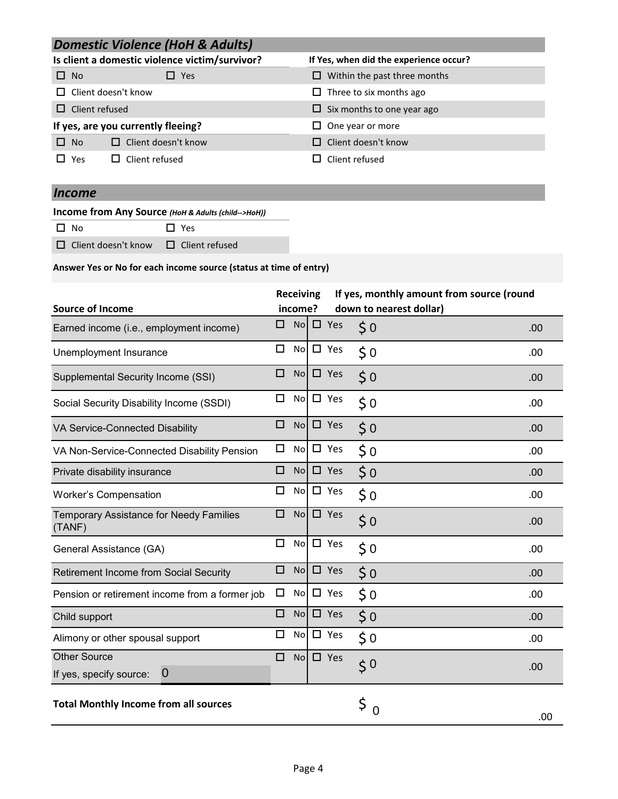## *Domestic Violence (HoH & Adults)*

|            |                            | Is client a domestic violence victim/survivor? | If Yes, when did the experience occur?       |
|------------|----------------------------|------------------------------------------------|----------------------------------------------|
| $\Box$ No  |                            | $\square$ Yes                                  | Within the past three months<br>$\mathsf{L}$ |
|            | $\Box$ Client doesn't know |                                                | $\Box$ Three to six months ago               |
|            | $\Box$ Client refused      |                                                | $\Box$ Six months to one year ago            |
|            |                            | If yes, are you currently fleeing?             | One year or more<br>$\mathbf{L}$             |
| $\Box$ No  |                            | $\Box$ Client doesn't know                     | Client doesn't know                          |
| $\Box$ Yes |                            | $\Box$ Client refused                          | Client refused                               |

## *Income*

**Income from Any Source** *(HoH & Adults (child-->HoH))*

 $\square$  No  $\square$  Yes

 $\Box$  Client doesn't know  $\Box$  Client refused

#### **Answer Yes or No for each income source (status at time of entry)**

|                                                          |        | <b>Receiving</b> |               | If yes, monthly amount from source (round |     |
|----------------------------------------------------------|--------|------------------|---------------|-------------------------------------------|-----|
| <b>Source of Income</b>                                  |        | income?          |               | down to nearest dollar)                   |     |
| Earned income (i.e., employment income)                  | □      | <b>No</b>        | $\square$ Yes | $\zeta$ 0                                 | .00 |
| Unemployment Insurance                                   | □      | <b>No</b>        | $\square$ Yes | $\zeta$ 0                                 | .00 |
| Supplemental Security Income (SSI)                       | □      | No.              | $\Box$ Yes    | $\zeta$ 0                                 | .00 |
| Social Security Disability Income (SSDI)                 | $\Box$ | <b>No</b>        | $\Box$ Yes    | $\frac{1}{2}$ 0                           | .00 |
| VA Service-Connected Disability                          | □      | No.              | $\square$ Yes | $\frac{1}{2}$ 0                           | .00 |
| VA Non-Service-Connected Disability Pension              | □      | No               | $\Box$ Yes    | $\zeta$ 0                                 | .00 |
| Private disability insurance                             | □      | <b>No</b>        | $\square$ Yes | 50                                        | .00 |
| <b>Worker's Compensation</b>                             | □      | <b>No</b>        | $\Box$ Yes    | $\frac{1}{2}$ 0                           | .00 |
| <b>Temporary Assistance for Needy Families</b><br>(TANF) | □      | No               | $\square$ Yes | $\frac{1}{2}$ 0                           | .00 |
| General Assistance (GA)                                  | $\Box$ | <b>No</b>        | $\Box$ Yes    | $\zeta$ 0                                 | .00 |
| <b>Retirement Income from Social Security</b>            | □      | <b>No</b>        | $\square$ Yes | $\frac{1}{2}$ 0                           | .00 |
| Pension or retirement income from a former job           | □      | <b>No</b>        | $\Box$ Yes    | $\zeta$ 0                                 | .00 |
| Child support                                            | $\Box$ | No               | $\square$ Yes | $\zeta$ 0                                 | .00 |
| Alimony or other spousal support                         | □      | <b>No</b>        | $\square$ Yes | $\zeta$ 0                                 | .00 |
| <b>Other Source</b>                                      | □      | No               | $\square$ Yes | 50                                        | .00 |
| $\overline{0}$<br>If yes, specify source:                |        |                  |               |                                           |     |
| <b>Total Monthly Income from all sources</b>             |        |                  |               | \$<br>$\overline{0}$                      | .00 |